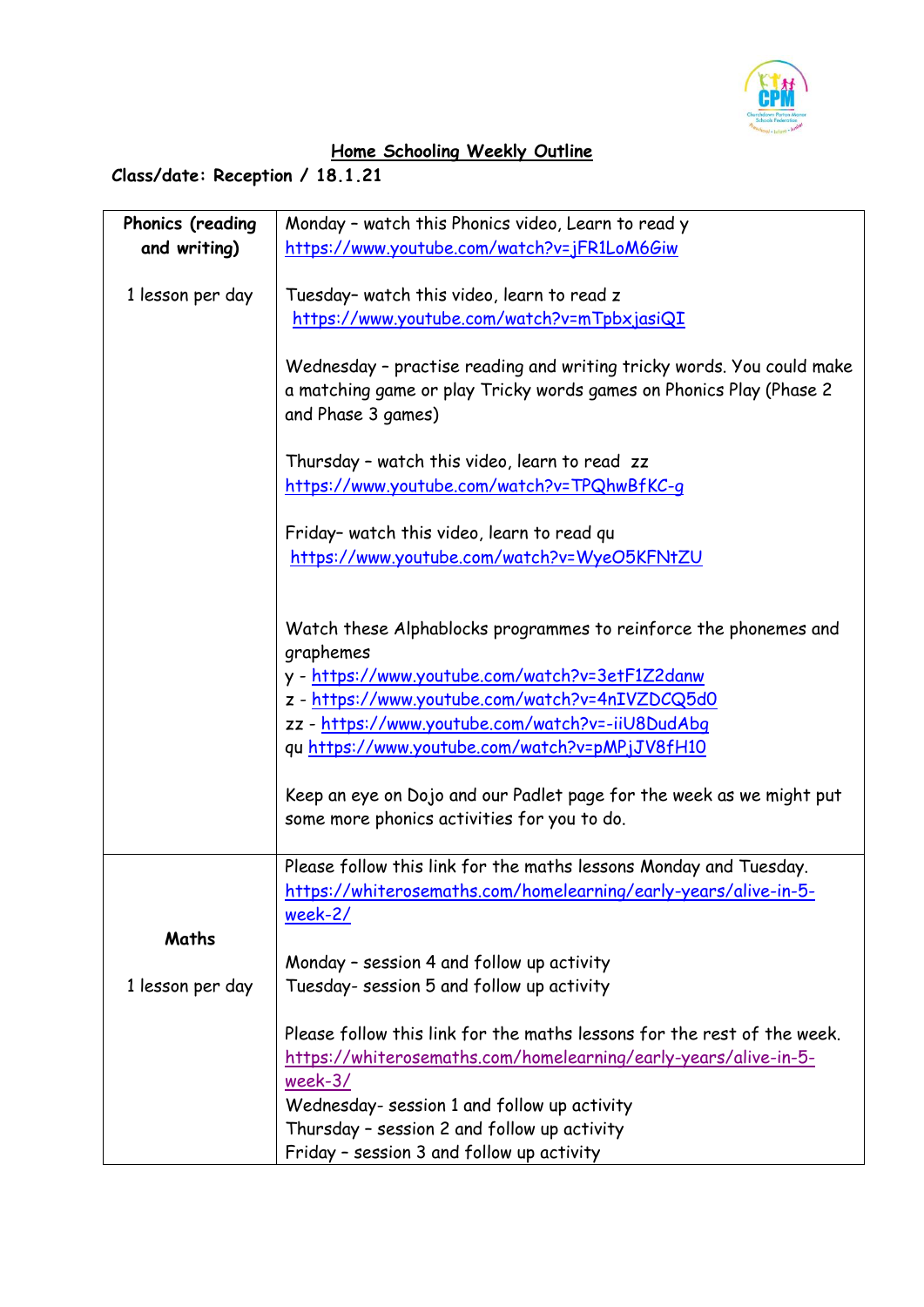

## **Home Schooling Weekly Outline**

## **Class/date: Reception / 18.1.21**

| Phonics (reading | Monday - watch this Phonics video, Learn to read y                      |
|------------------|-------------------------------------------------------------------------|
| and writing)     | https://www.youtube.com/watch?v=jFR1LoM6Giw                             |
|                  |                                                                         |
| 1 lesson per day | Tuesday- watch this video, learn to read z                              |
|                  | https://www.youtube.com/watch?v=mTpbxjasiQI                             |
|                  |                                                                         |
|                  | Wednesday - practise reading and writing tricky words. You could make   |
|                  | a matching game or play Tricky words games on Phonics Play (Phase 2     |
|                  | and Phase 3 games)                                                      |
|                  |                                                                         |
|                  | Thursday - watch this video, learn to read zz                           |
|                  | https://www.youtube.com/watch?v=TPQhwBfKC-g                             |
|                  |                                                                         |
|                  | Friday- watch this video, learn to read qu                              |
|                  | https://www.youtube.com/watch?v=WyeO5KFNtZU                             |
|                  |                                                                         |
|                  |                                                                         |
|                  | Watch these Alphablocks programmes to reinforce the phonemes and        |
|                  | graphemes                                                               |
|                  | y - https://www.youtube.com/watch?v=3etF1Z2danw                         |
|                  | z - https://www.youtube.com/watch?v=4nIVZDCQ5d0                         |
|                  | zz - https://www.youtube.com/watch?v=-iiU8DudAbg                        |
|                  | qu https://www.youtube.com/watch?v=pMPjJV8fH10                          |
|                  |                                                                         |
|                  | Keep an eye on Dojo and our Padlet page for the week as we might put    |
|                  | some more phonics activities for you to do.                             |
|                  |                                                                         |
|                  | Please follow this link for the maths lessons Monday and Tuesday.       |
|                  | https://whiterosemaths.com/homelearning/early-years/alive-in-5-         |
|                  | <u>week-2/</u>                                                          |
| Maths            |                                                                         |
|                  | Monday - session 4 and follow up activity                               |
| 1 lesson per day | Tuesday- session 5 and follow up activity                               |
|                  |                                                                         |
|                  | Please follow this link for the maths lessons for the rest of the week. |
|                  | https://whiterosemaths.com/homelearning/early-years/alive-in-5-         |
|                  | $week-3/$                                                               |
|                  | Wednesday- session 1 and follow up activity                             |
|                  | Thursday - session 2 and follow up activity                             |
|                  | Friday - session 3 and follow up activity                               |
|                  |                                                                         |